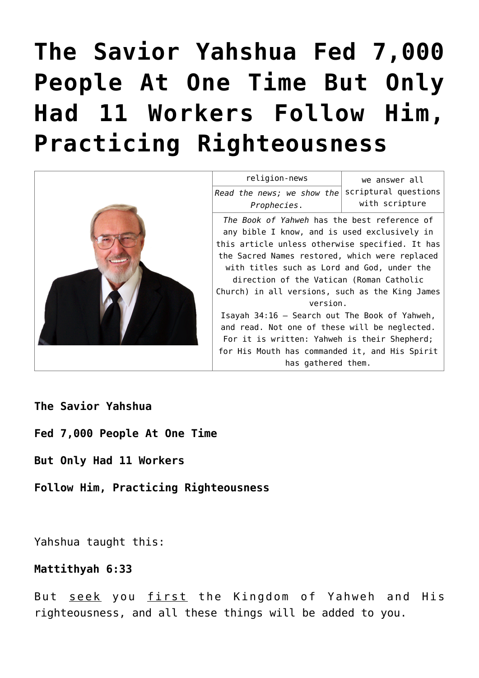# **[The Savior Yahshua Fed 7,000](https://yahwehsbranch.com/the-savior-yahshua-fed-7000-people-at-one-time-but-only-had-11-workers-follow-him-practicing-righteousness/) [People At One Time But Only](https://yahwehsbranch.com/the-savior-yahshua-fed-7000-people-at-one-time-but-only-had-11-workers-follow-him-practicing-righteousness/) [Had 11 Workers Follow Him,](https://yahwehsbranch.com/the-savior-yahshua-fed-7000-people-at-one-time-but-only-had-11-workers-follow-him-practicing-righteousness/) [Practicing Righteousness](https://yahwehsbranch.com/the-savior-yahshua-fed-7000-people-at-one-time-but-only-had-11-workers-follow-him-practicing-righteousness/)**



**The Savior Yahshua**

**Fed 7,000 People At One Time**

**But Only Had 11 Workers**

**Follow Him, Practicing Righteousness**

Yahshua taught this:

# **Mattithyah 6:33**

But seek you first the Kingdom of Yahweh and His righteousness, and all these things will be added to you.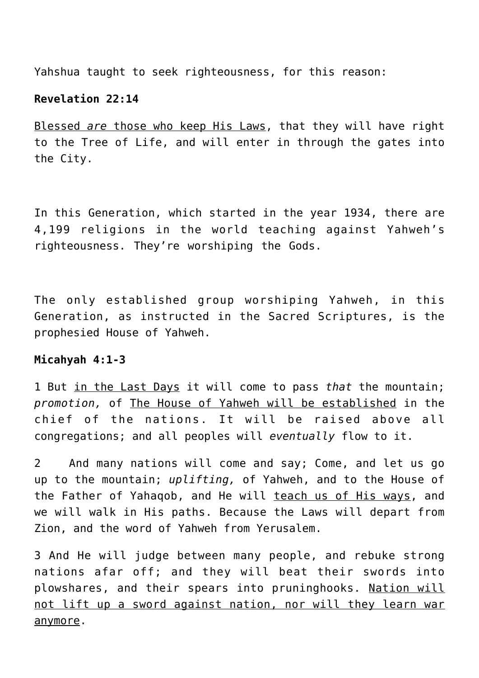Yahshua taught to seek righteousness, for this reason:

## **Revelation 22:14**

Blessed *are* those who keep His Laws, that they will have right to the Tree of Life, and will enter in through the gates into the City.

In this Generation, which started in the year 1934, there are 4,199 religions in the world teaching against Yahweh's righteousness. They're worshiping the Gods.

The only established group worshiping Yahweh, in this Generation, as instructed in the Sacred Scriptures, is the prophesied House of Yahweh.

## **Micahyah 4:1-3**

1 But in the Last Days it will come to pass *that* the mountain; *promotion,* of The House of Yahweh will be established in the chief of the nations. It will be raised above all congregations; and all peoples will *eventually* flow to it.

2 And many nations will come and say; Come, and let us go up to the mountain; *uplifting,* of Yahweh, and to the House of the Father of Yahaqob, and He will teach us of His ways, and we will walk in His paths. Because the Laws will depart from Zion, and the word of Yahweh from Yerusalem.

3 And He will judge between many people, and rebuke strong nations afar off; and they will beat their swords into plowshares, and their spears into pruninghooks. Nation will not lift up a sword against nation, nor will they learn war anymore.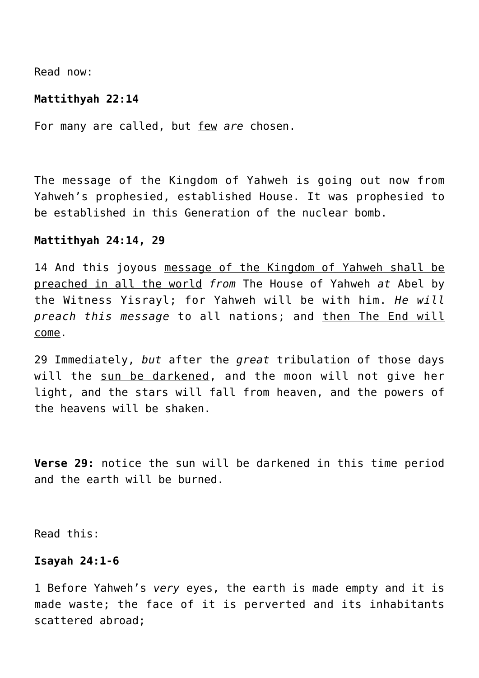Read now:

#### **Mattithyah 22:14**

For many are called, but few *are* chosen.

The message of the Kingdom of Yahweh is going out now from Yahweh's prophesied, established House. It was prophesied to be established in this Generation of the nuclear bomb.

#### **Mattithyah 24:14, 29**

14 And this joyous message of the Kingdom of Yahweh shall be preached in all the world *from* The House of Yahweh *at* Abel by the Witness Yisrayl; for Yahweh will be with him. *He will preach this message* to all nations; and then The End will come.

29 Immediately, *but* after the *great* tribulation of those days will the sun be darkened, and the moon will not give her light, and the stars will fall from heaven, and the powers of the heavens will be shaken.

**Verse 29:** notice the sun will be darkened in this time period and the earth will be burned.

Read this:

## **Isayah 24:1-6**

1 Before Yahweh's *very* eyes, the earth is made empty and it is made waste; the face of it is perverted and its inhabitants scattered abroad;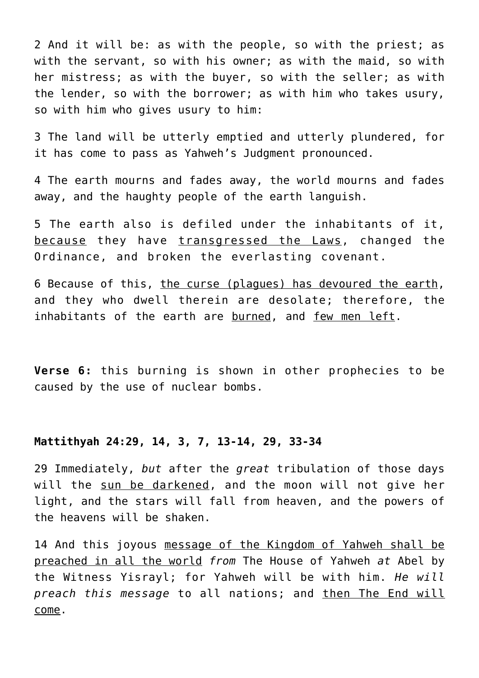2 And it will be: as with the people, so with the priest; as with the servant, so with his owner; as with the maid, so with her mistress; as with the buyer, so with the seller; as with the lender, so with the borrower; as with him who takes usury, so with him who gives usury to him:

3 The land will be utterly emptied and utterly plundered, for it has come to pass as Yahweh's Judgment pronounced.

4 The earth mourns and fades away, the world mourns and fades away, and the haughty people of the earth languish.

5 The earth also is defiled under the inhabitants of it, because they have transgressed the Laws, changed the Ordinance, and broken the everlasting covenant.

6 Because of this, the curse (plagues) has devoured the earth, and they who dwell therein are desolate; therefore, the inhabitants of the earth are burned, and few men left.

**Verse 6:** this burning is shown in other prophecies to be caused by the use of nuclear bombs.

## **Mattithyah 24:29, 14, 3, 7, 13-14, 29, 33-34**

29 Immediately, *but* after the *great* tribulation of those days will the sun be darkened, and the moon will not give her light, and the stars will fall from heaven, and the powers of the heavens will be shaken.

14 And this joyous message of the Kingdom of Yahweh shall be preached in all the world *from* The House of Yahweh *at* Abel by the Witness Yisrayl; for Yahweh will be with him. *He will preach this message* to all nations; and then The End will come.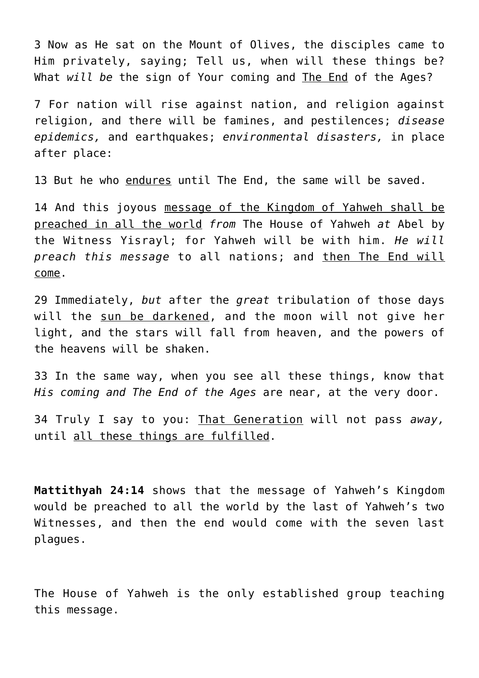3 Now as He sat on the Mount of Olives, the disciples came to Him privately, saying; Tell us, when will these things be? What *will be* the sign of Your coming and The End of the Ages?

7 For nation will rise against nation, and religion against religion, and there will be famines, and pestilences; *disease epidemics,* and earthquakes; *environmental disasters,* in place after place:

13 But he who endures until The End, the same will be saved.

14 And this joyous message of the Kingdom of Yahweh shall be preached in all the world *from* The House of Yahweh *at* Abel by the Witness Yisrayl; for Yahweh will be with him. *He will preach this message* to all nations; and then The End will come.

29 Immediately, *but* after the *great* tribulation of those days will the sun be darkened, and the moon will not give her light, and the stars will fall from heaven, and the powers of the heavens will be shaken.

33 In the same way, when you see all these things, know that *His coming and The End of the Ages* are near, at the very door.

34 Truly I say to you: That Generation will not pass *away,* until all these things are fulfilled.

**Mattithyah 24:14** shows that the message of Yahweh's Kingdom would be preached to all the world by the last of Yahweh's two Witnesses, and then the end would come with the seven last plagues.

The House of Yahweh is the only established group teaching this message.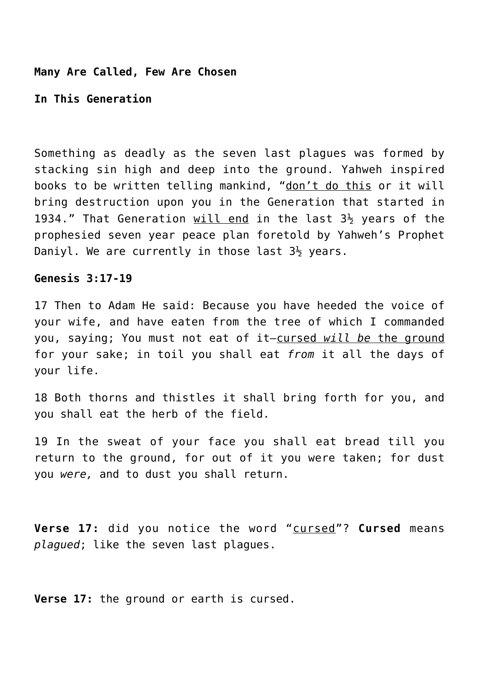#### **Many Are Called, Few Are Chosen**

**In This Generation**

Something as deadly as the seven last plagues was formed by stacking sin high and deep into the ground. Yahweh inspired books to be written telling mankind, "don't do this or it will bring destruction upon you in the Generation that started in 1934." That Generation will end in the last  $3\frac{1}{2}$  years of the prophesied seven year peace plan foretold by Yahweh's Prophet Daniyl. We are currently in those last  $3\frac{1}{2}$  years.

#### **Genesis 3:17-19**

17 Then to Adam He said: Because you have heeded the voice of your wife, and have eaten from the tree of which I commanded you, saying; You must not eat of it—cursed *will be* the ground for your sake; in toil you shall eat *from* it all the days of your life.

18 Both thorns and thistles it shall bring forth for you, and you shall eat the herb of the field.

19 In the sweat of your face you shall eat bread till you return to the ground, for out of it you were taken; for dust you *were,* and to dust you shall return.

**Verse 17:** did you notice the word "cursed"? **Cursed** means *plagued*; like the seven last plagues.

**Verse 17:** the ground or earth is cursed.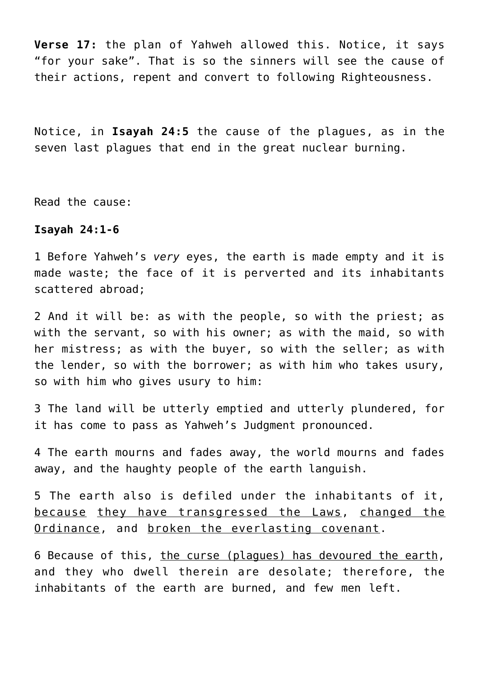**Verse 17:** the plan of Yahweh allowed this. Notice, it says "for your sake". That is so the sinners will see the cause of their actions, repent and convert to following Righteousness.

Notice, in **Isayah 24:5** the cause of the plagues, as in the seven last plagues that end in the great nuclear burning.

Read the cause:

#### **Isayah 24:1-6**

1 Before Yahweh's *very* eyes, the earth is made empty and it is made waste; the face of it is perverted and its inhabitants scattered abroad;

2 And it will be: as with the people, so with the priest; as with the servant, so with his owner; as with the maid, so with her mistress; as with the buyer, so with the seller; as with the lender, so with the borrower; as with him who takes usury, so with him who gives usury to him:

3 The land will be utterly emptied and utterly plundered, for it has come to pass as Yahweh's Judgment pronounced.

4 The earth mourns and fades away, the world mourns and fades away, and the haughty people of the earth languish.

5 The earth also is defiled under the inhabitants of it, because they have transgressed the Laws, changed the Ordinance, and broken the everlasting covenant.

6 Because of this, the curse (plagues) has devoured the earth, and they who dwell therein are desolate; therefore, the inhabitants of the earth are burned, and few men left.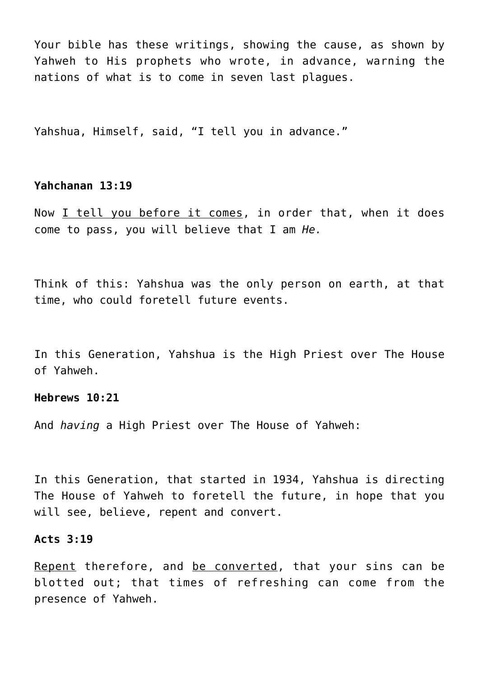Your bible has these writings, showing the cause, as shown by Yahweh to His prophets who wrote, in advance, warning the nations of what is to come in seven last plagues.

Yahshua, Himself, said, "I tell you in advance."

## **Yahchanan 13:19**

Now I tell you before it comes, in order that, when it does come to pass, you will believe that I am *He.*

Think of this: Yahshua was the only person on earth, at that time, who could foretell future events.

In this Generation, Yahshua is the High Priest over The House of Yahweh.

## **Hebrews 10:21**

And *having* a High Priest over The House of Yahweh:

In this Generation, that started in 1934, Yahshua is directing The House of Yahweh to foretell the future, in hope that you will see, believe, repent and convert.

## **Acts 3:19**

Repent therefore, and be converted, that your sins can be blotted out; that times of refreshing can come from the presence of Yahweh.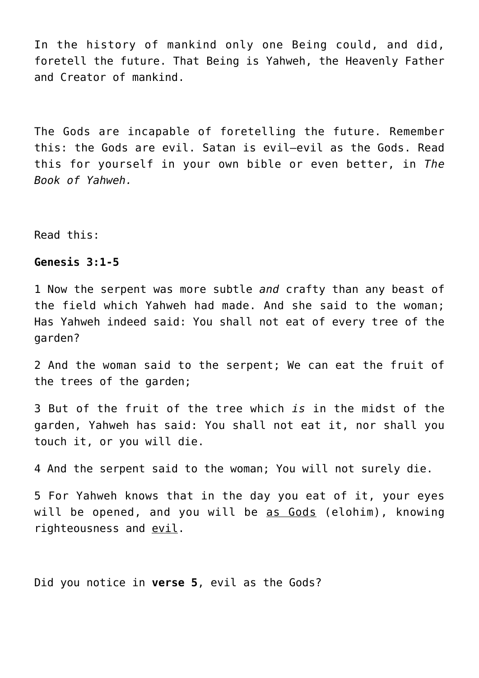In the history of mankind only one Being could, and did, foretell the future. That Being is Yahweh, the Heavenly Father and Creator of mankind.

The Gods are incapable of foretelling the future. Remember this: the Gods are evil. Satan is evil—evil as the Gods. Read this for yourself in your own bible or even better, in *The Book of Yahweh.*

Read this:

## **Genesis 3:1-5**

1 Now the serpent was more subtle *and* crafty than any beast of the field which Yahweh had made. And she said to the woman; Has Yahweh indeed said: You shall not eat of every tree of the garden?

2 And the woman said to the serpent; We can eat the fruit of the trees of the garden;

3 But of the fruit of the tree which *is* in the midst of the garden, Yahweh has said: You shall not eat it, nor shall you touch it, or you will die.

4 And the serpent said to the woman; You will not surely die.

5 For Yahweh knows that in the day you eat of it, your eyes will be opened, and you will be as Gods (elohim), knowing righteousness and evil.

Did you notice in **verse 5**, evil as the Gods?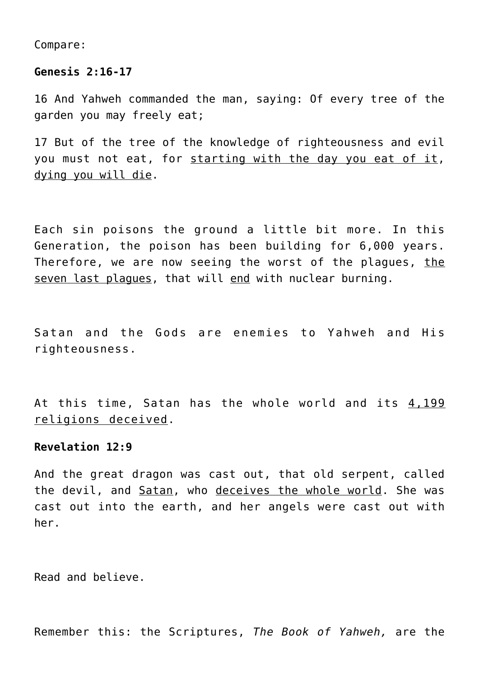Compare:

#### **Genesis 2:16-17**

16 And Yahweh commanded the man, saying: Of every tree of the garden you may freely eat;

17 But of the tree of the knowledge of righteousness and evil you must not eat, for starting with the day you eat of it, dying you will die.

Each sin poisons the ground a little bit more. In this Generation, the poison has been building for 6,000 years. Therefore, we are now seeing the worst of the plagues, the seven last plagues, that will end with nuclear burning.

Satan and the Gods are enemies to Yahweh and His righteousness.

At this time, Satan has the whole world and its 4,199 religions deceived.

## **Revelation 12:9**

And the great dragon was cast out, that old serpent, called the devil, and Satan, who deceives the whole world. She was cast out into the earth, and her angels were cast out with her.

Read and believe.

Remember this: the Scriptures, *The Book of Yahweh,* are the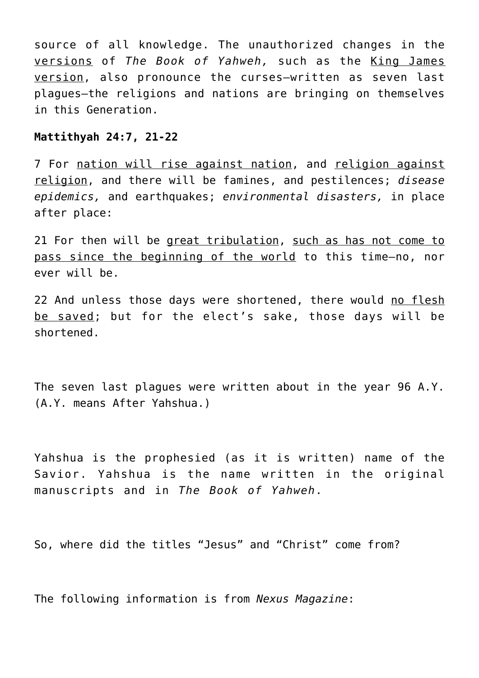source of all knowledge. The unauthorized changes in the versions of *The Book of Yahweh,* such as the King James version, also pronounce the curses—written as seven last plagues—the religions and nations are bringing on themselves in this Generation.

## **Mattithyah 24:7, 21-22**

7 For nation will rise against nation, and religion against religion, and there will be famines, and pestilences; *disease epidemics,* and earthquakes; *environmental disasters,* in place after place:

21 For then will be great tribulation, such as has not come to pass since the beginning of the world to this time—no, nor ever will be.

22 And unless those days were shortened, there would no flesh be saved; but for the elect's sake, those days will be shortened.

The seven last plagues were written about in the year 96 A.Y. (A.Y. means After Yahshua.)

Yahshua is the prophesied (as it is written) name of the Savior. Yahshua is the name written in the original manuscripts and in *The Book of Yahweh*.

So, where did the titles "Jesus" and "Christ" come from?

The following information is from *Nexus Magazine*: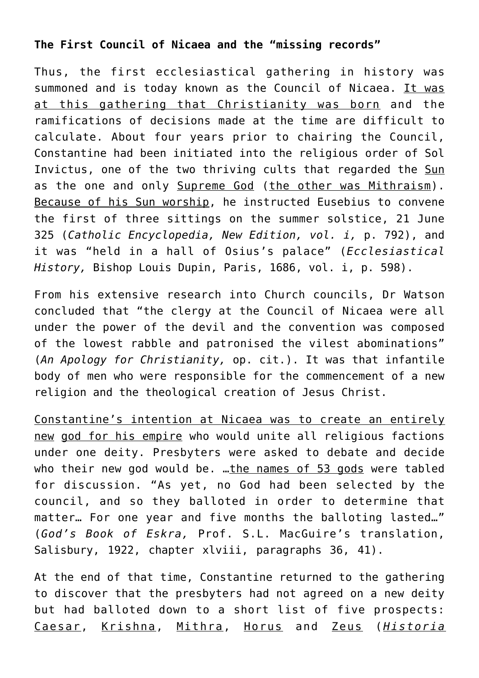# **The First Council of Nicaea and the "missing records"**

Thus, the first ecclesiastical gathering in history was summoned and is today known as the Council of Nicaea. It was at this gathering that Christianity was born and the ramifications of decisions made at the time are difficult to calculate. About four years prior to chairing the Council, Constantine had been initiated into the religious order of Sol Invictus, one of the two thriving cults that regarded the Sun as the one and only Supreme God (the other was Mithraism). Because of his Sun worship, he instructed Eusebius to convene the first of three sittings on the summer solstice, 21 June 325 (*Catholic Encyclopedia, New Edition, vol. i,* p. 792), and it was "held in a hall of Osius's palace" (*Ecclesiastical History,* Bishop Louis Dupin, Paris, 1686, vol. i, p. 598).

From his extensive research into Church councils, Dr Watson concluded that "the clergy at the Council of Nicaea were all under the power of the devil and the convention was composed of the lowest rabble and patronised the vilest abominations" (*An Apology for Christianity,* op. cit.). It was that infantile body of men who were responsible for the commencement of a new religion and the theological creation of Jesus Christ.

Constantine's intention at Nicaea was to create an entirely new god for his empire who would unite all religious factions under one deity. Presbyters were asked to debate and decide who their new god would be. ... the names of 53 gods were tabled for discussion. "As yet, no God had been selected by the council, and so they balloted in order to determine that matter… For one year and five months the balloting lasted…" (*God's Book of Eskra,* Prof. S.L. MacGuire's translation, Salisbury, 1922, chapter xlviii, paragraphs 36, 41).

At the end of that time, Constantine returned to the gathering to discover that the presbyters had not agreed on a new deity but had balloted down to a short list of five prospects: Caesar, Krishna, Mithra, Horus and Zeus (*Historia*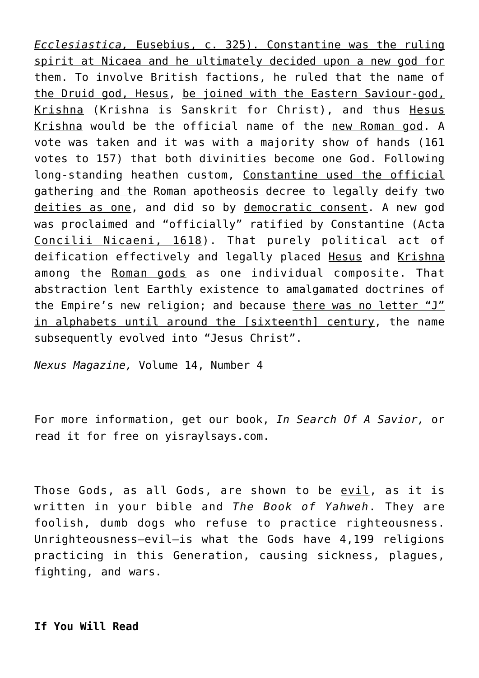*Ecclesiastica,* Eusebius, c. 325). Constantine was the ruling spirit at Nicaea and he ultimately decided upon a new god for them. To involve British factions, he ruled that the name of the Druid god, Hesus, be joined with the Eastern Saviour-god, Krishna (Krishna is Sanskrit for Christ), and thus Hesus Krishna would be the official name of the new Roman god. A vote was taken and it was with a majority show of hands (161 votes to 157) that both divinities become one God. Following long-standing heathen custom, Constantine used the official gathering and the Roman apotheosis decree to legally deify two deities as one, and did so by democratic consent. A new god was proclaimed and "officially" ratified by Constantine (Acta Concilii Nicaeni, 1618). That purely political act of deification effectively and legally placed Hesus and Krishna among the Roman gods as one individual composite. That abstraction lent Earthly existence to amalgamated doctrines of the Empire's new religion; and because there was no letter "J" in alphabets until around the [sixteenth] century, the name subsequently evolved into "Jesus Christ".

*Nexus Magazine,* Volume 14, Number 4

For more information, get our book, *In Search Of A Savior,* or read it for free on yisraylsays.com.

Those Gods, as all Gods, are shown to be evil, as it is written in your bible and *The Book of Yahweh*. They are foolish, dumb dogs who refuse to practice righteousness. Unrighteousness—evil—is what the Gods have 4,199 religions practicing in this Generation, causing sickness, plagues, fighting, and wars.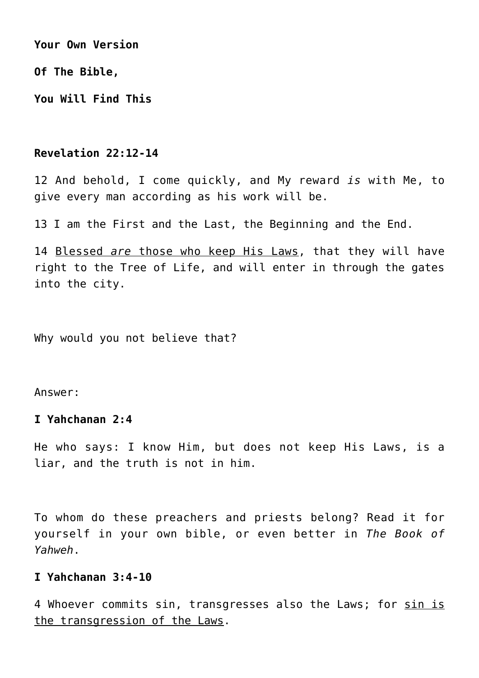**Your Own Version**

**Of The Bible,**

**You Will Find This**

## **Revelation 22:12-14**

12 And behold, I come quickly, and My reward *is* with Me, to give every man according as his work will be.

13 I am the First and the Last, the Beginning and the End.

14 Blessed *are* those who keep His Laws, that they will have right to the Tree of Life, and will enter in through the gates into the city.

Why would you not believe that?

Answer:

## **I Yahchanan 2:4**

He who says: I know Him, but does not keep His Laws, is a liar, and the truth is not in him.

To whom do these preachers and priests belong? Read it for yourself in your own bible, or even better in *The Book of Yahweh*.

# **I Yahchanan 3:4-10**

4 Whoever commits sin, transgresses also the Laws; for sin is the transgression of the Laws.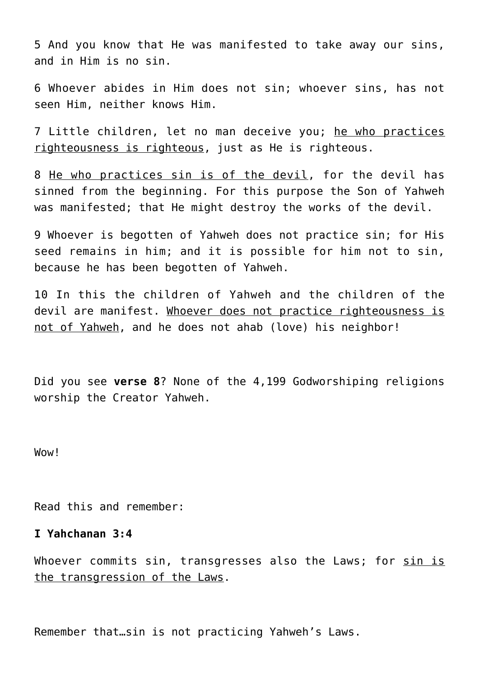5 And you know that He was manifested to take away our sins, and in Him is no sin.

6 Whoever abides in Him does not sin; whoever sins, has not seen Him, neither knows Him.

7 Little children, let no man deceive you; he who practices righteousness is righteous, just as He is righteous.

8 He who practices sin is of the devil, for the devil has sinned from the beginning. For this purpose the Son of Yahweh was manifested; that He might destroy the works of the devil.

9 Whoever is begotten of Yahweh does not practice sin; for His seed remains in him; and it is possible for him not to sin, because he has been begotten of Yahweh.

10 In this the children of Yahweh and the children of the devil are manifest. Whoever does not practice righteousness is not of Yahweh, and he does not ahab (love) his neighbor!

Did you see **verse 8**? None of the 4,199 Godworshiping religions worship the Creator Yahweh.

Wow!

Read this and remember:

## **I Yahchanan 3:4**

Whoever commits sin, transgresses also the Laws; for sin is the transgression of the Laws.

Remember that…sin is not practicing Yahweh's Laws.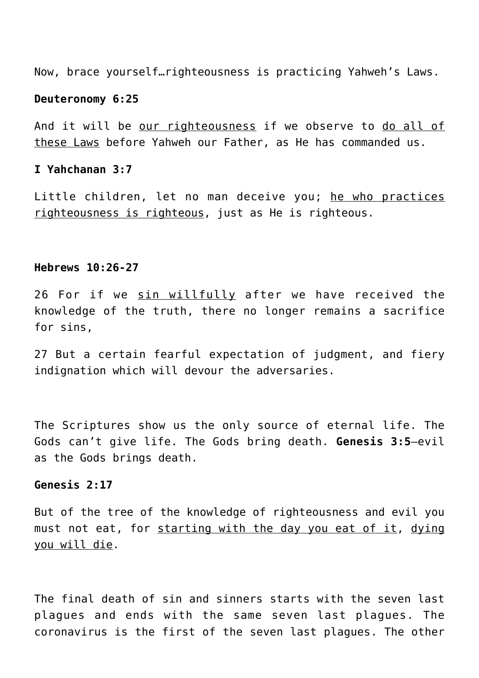Now, brace yourself…righteousness is practicing Yahweh's Laws.

#### **Deuteronomy 6:25**

And it will be our righteousness if we observe to do all of these Laws before Yahweh our Father, as He has commanded us.

#### **I Yahchanan 3:7**

Little children, let no man deceive you; he who practices righteousness is righteous, just as He is righteous.

#### **Hebrews 10:26-27**

26 For if we sin willfully after we have received the knowledge of the truth, there no longer remains a sacrifice for sins,

27 But a certain fearful expectation of judgment, and fiery indignation which will devour the adversaries.

The Scriptures show us the only source of eternal life. The Gods can't give life. The Gods bring death. **Genesis 3:5**—evil as the Gods brings death.

## **Genesis 2:17**

But of the tree of the knowledge of righteousness and evil you must not eat, for starting with the day you eat of it, dying you will die.

The final death of sin and sinners starts with the seven last plagues and ends with the same seven last plagues. The coronavirus is the first of the seven last plagues. The other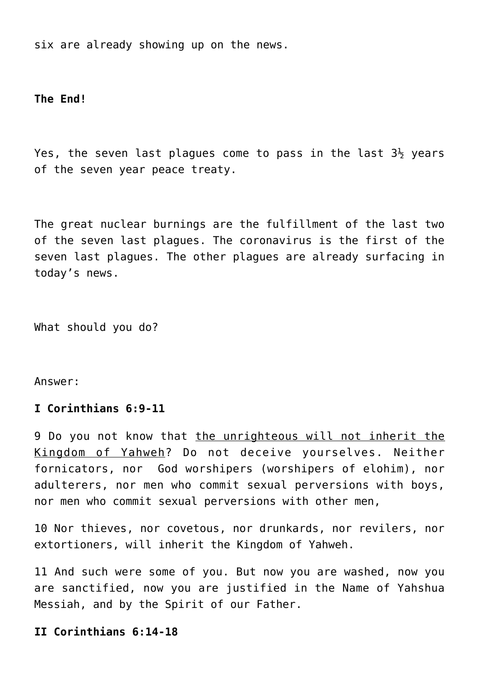six are already showing up on the news.

**The End!**

Yes, the seven last plagues come to pass in the last  $3\frac{1}{2}$  years of the seven year peace treaty.

The great nuclear burnings are the fulfillment of the last two of the seven last plagues. The coronavirus is the first of the seven last plagues. The other plagues are already surfacing in today's news.

What should you do?

Answer:

## **I Corinthians 6:9-11**

9 Do you not know that the unrighteous will not inherit the Kingdom of Yahweh? Do not deceive yourselves. Neither fornicators, nor God worshipers (worshipers of elohim), nor adulterers, nor men who commit sexual perversions with boys, nor men who commit sexual perversions with other men,

10 Nor thieves, nor covetous, nor drunkards, nor revilers, nor extortioners, will inherit the Kingdom of Yahweh.

11 And such were some of you. But now you are washed, now you are sanctified, now you are justified in the Name of Yahshua Messiah, and by the Spirit of our Father.

**II Corinthians 6:14-18**